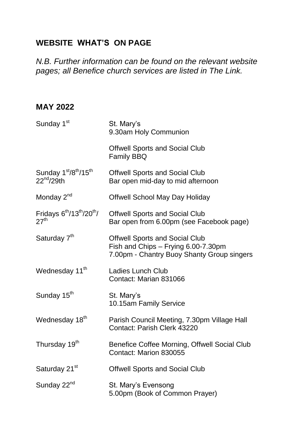### **WEBSITE WHAT'S ON PAGE**

*N.B. Further information can be found on the relevant website pages; all Benefice church services are listed in The Link.* 

#### **MAY 2022**

| Sunday 1 <sup>st</sup>                        | St. Mary's<br>9.30am Holy Communion                                                                                        |
|-----------------------------------------------|----------------------------------------------------------------------------------------------------------------------------|
|                                               | <b>Offwell Sports and Social Club</b><br><b>Family BBQ</b>                                                                 |
| Sunday 1st/8th/15th<br>22 <sup>nd</sup> /29th | <b>Offwell Sports and Social Club</b><br>Bar open mid-day to mid afternoon                                                 |
| Monday 2 <sup>nd</sup>                        | <b>Offwell School May Day Holiday</b>                                                                                      |
| Fridays $6th/13th/20th/$<br>27 <sup>th</sup>  | <b>Offwell Sports and Social Club</b><br>Bar open from 6.00pm (see Facebook page)                                          |
| Saturday 7 <sup>th</sup>                      | <b>Offwell Sports and Social Club</b><br>Fish and Chips - Frying 6.00-7.30pm<br>7.00pm - Chantry Buoy Shanty Group singers |
| Wednesday 11 <sup>th</sup>                    | <b>Ladies Lunch Club</b><br>Contact: Marian 831066                                                                         |
| Sunday 15 <sup>th</sup>                       | St. Mary's<br>10.15am Family Service                                                                                       |
| Wednesday 18 <sup>th</sup>                    | Parish Council Meeting, 7.30pm Village Hall<br>Contact: Parish Clerk 43220                                                 |
| Thursday 19 <sup>th</sup>                     | Benefice Coffee Morning, Offwell Social Club<br>Contact: Marion 830055                                                     |
| Saturday 21 <sup>st</sup>                     | <b>Offwell Sports and Social Club</b>                                                                                      |
| Sunday 22 <sup>nd</sup>                       | St. Mary's Evensong<br>5.00pm (Book of Common Prayer)                                                                      |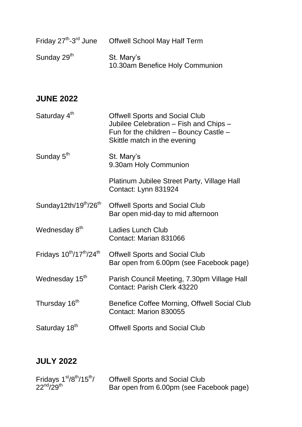| Friday 27 <sup>th</sup> -3 <sup>rd</sup> June | <b>Offwell School May Half Term</b>           |
|-----------------------------------------------|-----------------------------------------------|
| Sunday 29 <sup>th</sup>                       | St. Mary's<br>10.30am Benefice Holy Communion |

#### **JUNE 2022**

| Saturday 4 <sup>th</sup>                      | <b>Offwell Sports and Social Club</b><br>Jubilee Celebration – Fish and Chips –<br>Fun for the children - Bouncy Castle -<br>Skittle match in the evening |
|-----------------------------------------------|-----------------------------------------------------------------------------------------------------------------------------------------------------------|
| Sunday 5 <sup>th</sup>                        | St. Mary's<br>9.30am Holy Communion                                                                                                                       |
|                                               | Platinum Jubilee Street Party, Village Hall<br>Contact: Lynn 831924                                                                                       |
| Sunday12th/19 <sup>th</sup> /26 <sup>th</sup> | <b>Offwell Sports and Social Club</b><br>Bar open mid-day to mid afternoon                                                                                |
| Wednesday 8th                                 | Ladies Lunch Club<br>Contact: Marian 831066                                                                                                               |

#### Fridays  $10^{th}/17^{th}/24^{th}$  Offwell Sports and Social Club Bar open from 6.00pm (see Facebook page)

### Wednesday 15<sup>th</sup> Parish Council Meeting, 7.30pm Village Hall Contact: Parish Clerk 43220

- Thursday 16<sup>th</sup> Benefice Coffee Morning, Offwell Social Club Contact: Marion 830055
- Saturday 18<sup>th</sup> **Offwell Sports and Social Club**

#### **JULY 2022**

| Fridays $1st/8th/15th/$ | <b>Offwell Sports and Social Club</b>    |
|-------------------------|------------------------------------------|
| $22^{nd}/29^{th}$       | Bar open from 6.00pm (see Facebook page) |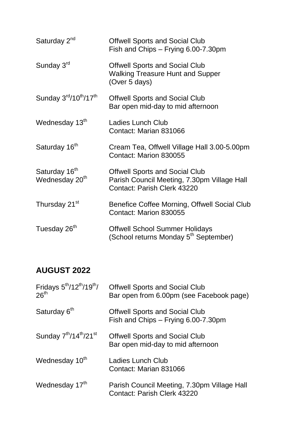| Saturday 2 <sup>nd</sup>                                   | <b>Offwell Sports and Social Club</b><br>Fish and Chips - Frying 6.00-7.30pm                                               |
|------------------------------------------------------------|----------------------------------------------------------------------------------------------------------------------------|
| Sunday 3rd                                                 | <b>Offwell Sports and Social Club</b><br><b>Walking Treasure Hunt and Supper</b><br>(Over 5 days)                          |
| Sunday 3 <sup>rd</sup> /10 <sup>th</sup> /17 <sup>th</sup> | <b>Offwell Sports and Social Club</b><br>Bar open mid-day to mid afternoon                                                 |
| Wednesday 13th                                             | <b>Ladies Lunch Club</b><br>Contact: Marian 831066                                                                         |
| Saturday 16 <sup>th</sup>                                  | Cream Tea, Offwell Village Hall 3.00-5.00pm<br>Contact: Marion 830055                                                      |
| Saturday 16 <sup>th</sup><br>Wednesday 20 <sup>th</sup>    | <b>Offwell Sports and Social Club</b><br>Parish Council Meeting, 7.30pm Village Hall<br><b>Contact: Parish Clerk 43220</b> |
| Thursday 21 <sup>st</sup>                                  | Benefice Coffee Morning, Offwell Social Club<br>Contact: Marion 830055                                                     |
| Tuesday 26 <sup>th</sup>                                   | <b>Offwell School Summer Holidays</b><br>(School returns Monday 5 <sup>th</sup> September)                                 |

### **AUGUST 2022**

| Fridays $5th/12th/19th/$<br>26 <sup>th</sup> | <b>Offwell Sports and Social Club</b><br>Bar open from 6.00pm (see Facebook page) |
|----------------------------------------------|-----------------------------------------------------------------------------------|
| Saturday 6 <sup>th</sup>                     | <b>Offwell Sports and Social Club</b><br>Fish and Chips - Frying 6.00-7.30pm      |
| Sunday $7th/14th/21st$                       | <b>Offwell Sports and Social Club</b><br>Bar open mid-day to mid afternoon        |
| Wednesday 10th                               | Ladies Lunch Club<br>Contact: Marian 831066                                       |
| Wednesday 17th                               | Parish Council Meeting, 7.30pm Village Hall<br>Contact: Parish Clerk 43220        |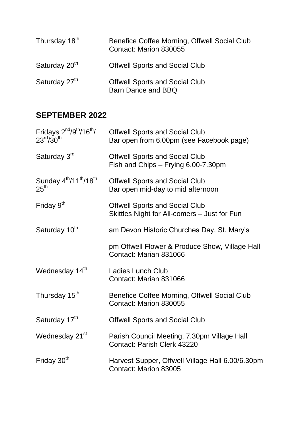| Thursday 18 <sup>th</sup> | Benefice Coffee Morning, Offwell Social Club<br>Contact: Marion 830055 |
|---------------------------|------------------------------------------------------------------------|
| Saturday 20 <sup>th</sup> | <b>Offwell Sports and Social Club</b>                                  |
| Saturday 27 <sup>th</sup> | <b>Offwell Sports and Social Club</b><br>Barn Dance and BBQ            |

### **SEPTEMBER 2022**

| Fridays 2 <sup>nd</sup> /9 <sup>th</sup> /16 <sup>th</sup> /<br>$23^{\text{rd}} / 30^{\text{th}}$ | <b>Offwell Sports and Social Club</b><br>Bar open from 6.00pm (see Facebook page)     |
|---------------------------------------------------------------------------------------------------|---------------------------------------------------------------------------------------|
| Saturday 3rd                                                                                      | <b>Offwell Sports and Social Club</b><br>Fish and Chips - Frying 6.00-7.30pm          |
| Sunday 4 <sup>th</sup> /11 <sup>th</sup> /18 <sup>th</sup><br>25 <sup>th</sup>                    | <b>Offwell Sports and Social Club</b><br>Bar open mid-day to mid afternoon            |
| Friday $9th$                                                                                      | <b>Offwell Sports and Social Club</b><br>Skittles Night for All-comers – Just for Fun |
| Saturday 10 <sup>th</sup>                                                                         | am Devon Historic Churches Day, St. Mary's                                            |
|                                                                                                   | pm Offwell Flower & Produce Show, Village Hall<br>Contact: Marian 831066              |
| Wednesday 14th                                                                                    | Ladies Lunch Club<br>Contact: Marian 831066                                           |
| Thursday 15 <sup>th</sup>                                                                         | Benefice Coffee Morning, Offwell Social Club<br>Contact: Marion 830055                |
| Saturday 17th                                                                                     | <b>Offwell Sports and Social Club</b>                                                 |
| Wednesday 21 <sup>st</sup>                                                                        | Parish Council Meeting, 7.30pm Village Hall<br><b>Contact: Parish Clerk 43220</b>     |
| Friday 30 <sup>th</sup>                                                                           | Harvest Supper, Offwell Village Hall 6.00/6.30pm<br>Contact: Marion 83005             |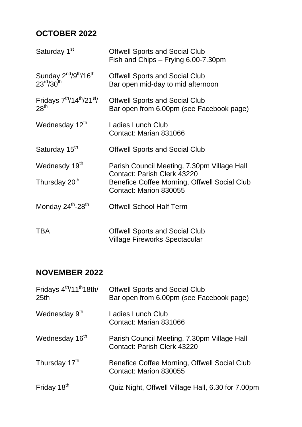## **OCTOBER 2022**

| Saturday 1 <sup>st</sup>                                                                     | <b>Offwell Sports and Social Club</b><br>Fish and Chips – Frying 6.00-7.30pm      |
|----------------------------------------------------------------------------------------------|-----------------------------------------------------------------------------------|
| Sunday 2 <sup>nd</sup> /9 <sup>th</sup> /16 <sup>th</sup><br>$23^{\text{rd}}/30^{\text{th}}$ | <b>Offwell Sports and Social Club</b><br>Bar open mid-day to mid afternoon        |
| Fridays 7 <sup>th</sup> /14 <sup>th</sup> /21 <sup>st</sup> /<br>28 <sup>th</sup>            | <b>Offwell Sports and Social Club</b><br>Bar open from 6.00pm (see Facebook page) |
| Wednesday 12th                                                                               | Ladies Lunch Club<br>Contact: Marian 831066                                       |
| Saturday 15 <sup>th</sup>                                                                    | <b>Offwell Sports and Social Club</b>                                             |
| Wednesdy 19th                                                                                | Parish Council Meeting, 7.30pm Village Hall<br><b>Contact: Parish Clerk 43220</b> |
| Thursday 20 <sup>th</sup>                                                                    | Benefice Coffee Morning, Offwell Social Club<br>Contact: Marion 830055            |
| Monday 24th-28th                                                                             | <b>Offwell School Half Term</b>                                                   |
| <b>TBA</b>                                                                                   | <b>Offwell Sports and Social Club</b><br><b>Village Fireworks Spectacular</b>     |

# **NOVEMBER 2022**

| Fridays 4 <sup>th</sup> /11 <sup>th</sup> 18th/<br>25 <sub>th</sub> | <b>Offwell Sports and Social Club</b><br>Bar open from 6.00pm (see Facebook page) |
|---------------------------------------------------------------------|-----------------------------------------------------------------------------------|
| Wednesday 9th                                                       | Ladies Lunch Club<br>Contact: Marian 831066                                       |
| Wednesday 16 <sup>th</sup>                                          | Parish Council Meeting, 7.30pm Village Hall<br>Contact: Parish Clerk 43220        |
| Thursday 17th                                                       | Benefice Coffee Morning, Offwell Social Club<br>Contact: Marion 830055            |
| Friday 18 <sup>th</sup>                                             | Quiz Night, Offwell Village Hall, 6.30 for 7.00pm                                 |